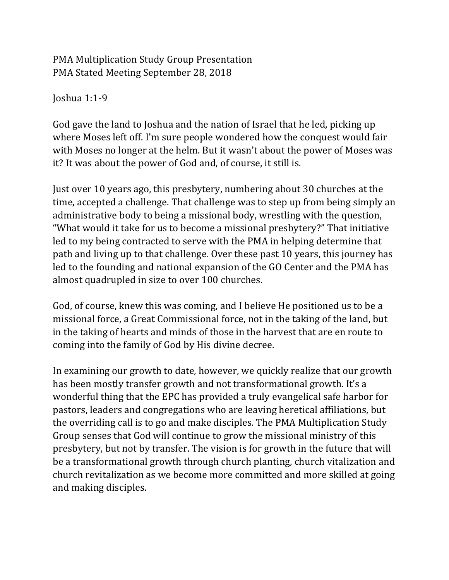PMA Multiplication Study Group Presentation PMA Stated Meeting September 28, 2018

Joshua  $1:1-9$ 

God gave the land to Joshua and the nation of Israel that he led, picking up where Moses left off. I'm sure people wondered how the conquest would fair with Moses no longer at the helm. But it wasn't about the power of Moses was it? It was about the power of God and, of course, it still is.

Just over 10 years ago, this presbytery, numbering about 30 churches at the time, accepted a challenge. That challenge was to step up from being simply an administrative body to being a missional body, wrestling with the question, "What would it take for us to become a missional presbytery?" That initiative led to my being contracted to serve with the PMA in helping determine that path and living up to that challenge. Over these past 10 years, this journey has led to the founding and national expansion of the GO Center and the PMA has almost quadrupled in size to over 100 churches.

God, of course, knew this was coming, and I believe He positioned us to be a missional force, a Great Commissional force, not in the taking of the land, but in the taking of hearts and minds of those in the harvest that are en route to coming into the family of God by His divine decree.

In examining our growth to date, however, we quickly realize that our growth has been mostly transfer growth and not transformational growth. It's a wonderful thing that the EPC has provided a truly evangelical safe harbor for pastors, leaders and congregations who are leaving heretical affiliations, but the overriding call is to go and make disciples. The PMA Multiplication Study Group senses that God will continue to grow the missional ministry of this presbytery, but not by transfer. The vision is for growth in the future that will be a transformational growth through church planting, church vitalization and church revitalization as we become more committed and more skilled at going and making disciples.